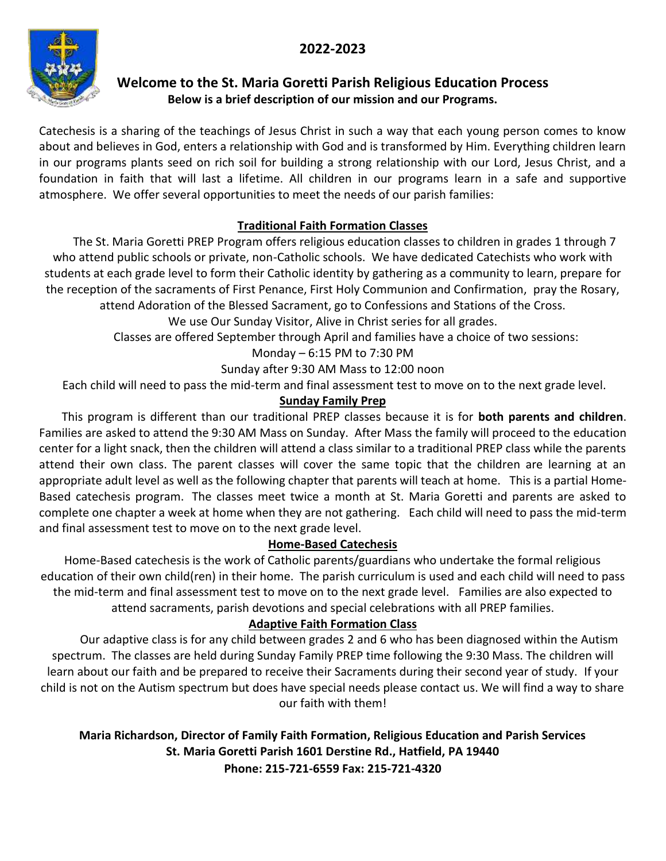### **2022-2023**



### **Welcome to the St. Maria Goretti Parish Religious Education Process Below is a brief description of our mission and our Programs.**

Catechesis is a sharing of the teachings of Jesus Christ in such a way that each young person comes to know about and believes in God, enters a relationship with God and is transformed by Him. Everything children learn in our programs plants seed on rich soil for building a strong relationship with our Lord, Jesus Christ, and a foundation in faith that will last a lifetime. All children in our programs learn in a safe and supportive atmosphere. We offer several opportunities to meet the needs of our parish families:

#### **Traditional Faith Formation Classes**

 The St. Maria Goretti PREP Program offers religious education classes to children in grades 1 through 7 who attend public schools or private, non-Catholic schools. We have dedicated Catechists who work with students at each grade level to form their Catholic identity by gathering as a community to learn, prepare for the reception of the sacraments of First Penance, First Holy Communion and Confirmation, pray the Rosary, attend Adoration of the Blessed Sacrament, go to Confessions and Stations of the Cross.

We use Our Sunday Visitor, Alive in Christ series for all grades.

Classes are offered September through April and families have a choice of two sessions:

Monday – 6:15 PM to 7:30 PM

Sunday after 9:30 AM Mass to 12:00 noon

Each child will need to pass the mid-term and final assessment test to move on to the next grade level.

#### **Sunday Family Prep**

This program is different than our traditional PREP classes because it is for **both parents and children**. Families are asked to attend the 9:30 AM Mass on Sunday. After Mass the family will proceed to the education center for a light snack, then the children will attend a class similar to a traditional PREP class while the parents attend their own class. The parent classes will cover the same topic that the children are learning at an appropriate adult level as well as the following chapter that parents will teach at home. This is a partial Home-Based catechesis program. The classes meet twice a month at St. Maria Goretti and parents are asked to complete one chapter a week at home when they are not gathering. Each child will need to pass the mid-term and final assessment test to move on to the next grade level.

#### **Home-Based Catechesis**

Home-Based catechesis is the work of Catholic parents/guardians who undertake the formal religious education of their own child(ren) in their home. The parish curriculum is used and each child will need to pass the mid-term and final assessment test to move on to the next grade level. Families are also expected to attend sacraments, parish devotions and special celebrations with all PREP families.

#### **Adaptive Faith Formation Class**

Our adaptive class is for any child between grades 2 and 6 who has been diagnosed within the Autism spectrum. The classes are held during Sunday Family PREP time following the 9:30 Mass. The children will learn about our faith and be prepared to receive their Sacraments during their second year of study. If your child is not on the Autism spectrum but does have special needs please contact us. We will find a way to share our faith with them!

**Maria Richardson, Director of Family Faith Formation, Religious Education and Parish Services St. Maria Goretti Parish 1601 Derstine Rd., Hatfield, PA 19440 Phone: 215-721-6559 Fax: 215-721-4320**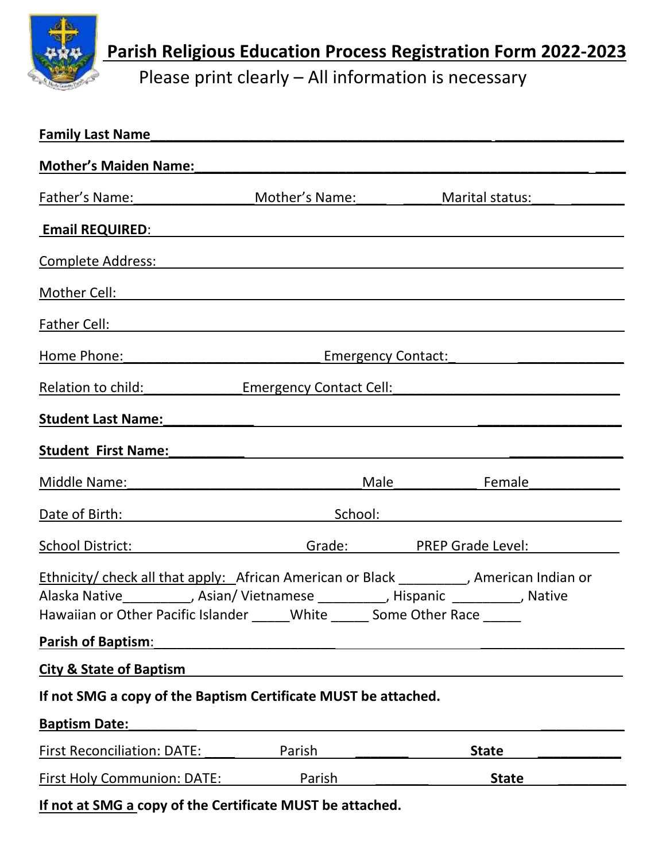

**Parish Religious Education Process Registration Form 2022-2023**

Please print clearly – All information is necessary

| Family Last Name                                                                                                                                                                                                               |                                                                                                                                                                                                                                |                                                                                                                                                                                                                                |
|--------------------------------------------------------------------------------------------------------------------------------------------------------------------------------------------------------------------------------|--------------------------------------------------------------------------------------------------------------------------------------------------------------------------------------------------------------------------------|--------------------------------------------------------------------------------------------------------------------------------------------------------------------------------------------------------------------------------|
| Mother's Maiden Name: Manual Manual Manual Manual Manual Manual Manual Manual Manual Manual Manual Manual Manu                                                                                                                 |                                                                                                                                                                                                                                |                                                                                                                                                                                                                                |
| Father's Name: Mother's Name:                                                                                                                                                                                                  |                                                                                                                                                                                                                                | Marital status:                                                                                                                                                                                                                |
| Email REQUIRED: Note that the state of the state of the state of the state of the state of the state of the state of the state of the state of the state of the state of the state of the state of the state of the state of t |                                                                                                                                                                                                                                |                                                                                                                                                                                                                                |
| Complete Address: National Address and Complete Address and Complete Address and Complete Address and Complete                                                                                                                 |                                                                                                                                                                                                                                |                                                                                                                                                                                                                                |
| Mother Cell: Notified and the second service of the service of the service of the service of the service of the service of the service of the service of the service of the service of the service of the service of the servi |                                                                                                                                                                                                                                |                                                                                                                                                                                                                                |
|                                                                                                                                                                                                                                |                                                                                                                                                                                                                                |                                                                                                                                                                                                                                |
|                                                                                                                                                                                                                                | Home Phone: The Emergency Contact: The Phone: The Phone: The Phone: The Phone: The Phone: The Phone: The Phone Phone Phone Phone Phone Phone Phone Phone Phone Phone Phone Phone Phone Phone Phone Phone Phone Phone Phone Pho |                                                                                                                                                                                                                                |
|                                                                                                                                                                                                                                |                                                                                                                                                                                                                                | Relation to child: Emergency Contact Cell: Relation to child:                                                                                                                                                                  |
| Student Last Name: Names and Student Last Names and Alexander and Alexander and Alexander and Alexander and Alexander and Alexander and Alexander and Alexander and Alexander and Alexander and Alexander and Alexander and Al |                                                                                                                                                                                                                                |                                                                                                                                                                                                                                |
|                                                                                                                                                                                                                                |                                                                                                                                                                                                                                | Student First Name: The Contract of the Contract of the Contract of the Contract of the Contract of the Contract of the Contract of the Contract of the Contract of the Contract of the Contract of the Contract of the Contra |
| Middle Name: will be a series of the control of the control of the control of the control of the control of the control of the control of the control of the control of the control of the control of the control of the contr |                                                                                                                                                                                                                                | Male <b>Female</b>                                                                                                                                                                                                             |
|                                                                                                                                                                                                                                |                                                                                                                                                                                                                                | Date of Birth: School: School: School: School: School: School: School: School: School: School: School: School: School: School: School: School: School: School: School: School: School: School: School: School: School: School: |
|                                                                                                                                                                                                                                |                                                                                                                                                                                                                                | School District: The Contract of Grade: The PREP Grade Level:                                                                                                                                                                  |
| Alaska Native__________, Asian/Vietnamese _________, Hispanic ________, Native<br>Hawaiian or Other Pacific Islander _____ White ______ Some Other Race _____                                                                  |                                                                                                                                                                                                                                | Ethnicity/ check all that apply: African American or Black _________, American Indian or                                                                                                                                       |
| <b>Parish of Baptism:</b>                                                                                                                                                                                                      |                                                                                                                                                                                                                                |                                                                                                                                                                                                                                |
| <b>City &amp; State of Baptism</b>                                                                                                                                                                                             |                                                                                                                                                                                                                                |                                                                                                                                                                                                                                |
| If not SMG a copy of the Baptism Certificate MUST be attached.                                                                                                                                                                 |                                                                                                                                                                                                                                |                                                                                                                                                                                                                                |
| <b>Baptism Date:</b>                                                                                                                                                                                                           |                                                                                                                                                                                                                                |                                                                                                                                                                                                                                |
| <b>First Reconciliation: DATE:</b>                                                                                                                                                                                             | Parish                                                                                                                                                                                                                         | <b>State</b>                                                                                                                                                                                                                   |
| <b>First Holy Communion: DATE:</b>                                                                                                                                                                                             | Parish                                                                                                                                                                                                                         | <b>State</b>                                                                                                                                                                                                                   |

**If not at SMG a copy of the Certificate MUST be attached.**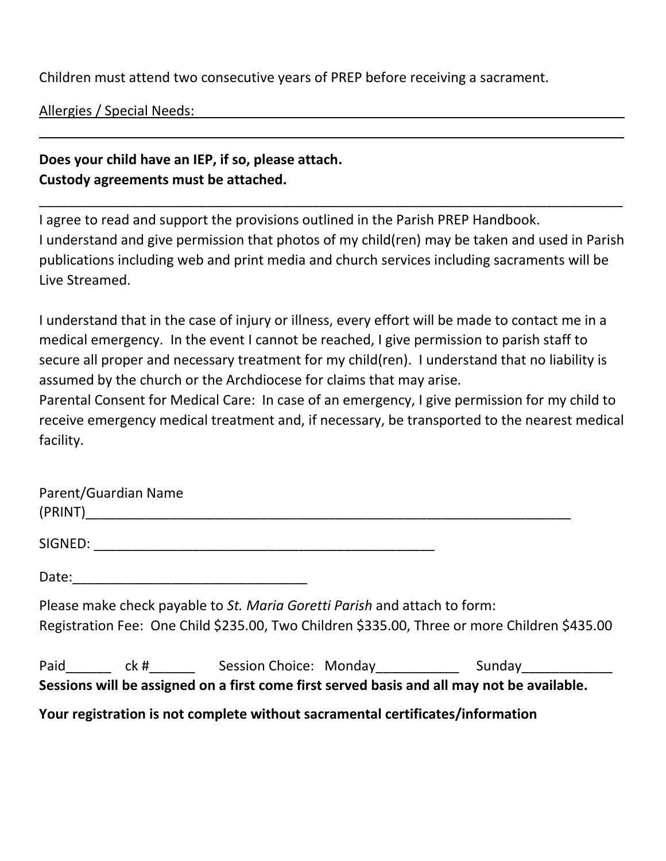Children must attend two consecutive years of PREP before receiving a sacrament.

Allergies / Special Needs:

## **Does your child have an IEP, if so, please attach. Custody agreements must be attached.**

I agree to read and support the provisions outlined in the Parish PREP Handbook. I understand and give permission that photos of my child(ren) may be taken and used in Parish publications including web and print media and church services including sacraments will be Live Streamed.

\_\_\_\_\_\_\_\_\_\_\_\_\_\_\_\_\_\_\_\_\_\_\_\_\_\_\_\_\_\_\_\_\_\_\_\_\_\_\_\_\_\_\_\_\_\_\_\_\_\_\_\_\_\_\_\_\_\_\_\_\_\_\_\_\_\_\_\_\_\_\_\_\_\_\_\_\_

\_\_ \_\_\_

I understand that in the case of injury or illness, every effort will be made to contact me in a medical emergency. In the event I cannot be reached, I give permission to parish staff to secure all proper and necessary treatment for my child(ren). I understand that no liability is assumed by the church or the Archdiocese for claims that may arise.

Parental Consent for Medical Care: In case of an emergency, I give permission for my child to receive emergency medical treatment and, if necessary, be transported to the nearest medical facility.

| Parent/Guardian Name |                                                                                                                                                                                |  |  |
|----------------------|--------------------------------------------------------------------------------------------------------------------------------------------------------------------------------|--|--|
|                      |                                                                                                                                                                                |  |  |
|                      |                                                                                                                                                                                |  |  |
|                      | Please make check payable to St. Maria Goretti Parish and attach to form:<br>Registration Fee: One Child \$235.00, Two Children \$335.00, Three or more Children \$435.00      |  |  |
|                      | Paid________ ck #________ Session Choice: Monday_____________ Sunday____________<br>Sessions will be assigned on a first come first served basis and all may not be available. |  |  |
|                      | Your registration is not complete without sacramental certificates/information                                                                                                 |  |  |